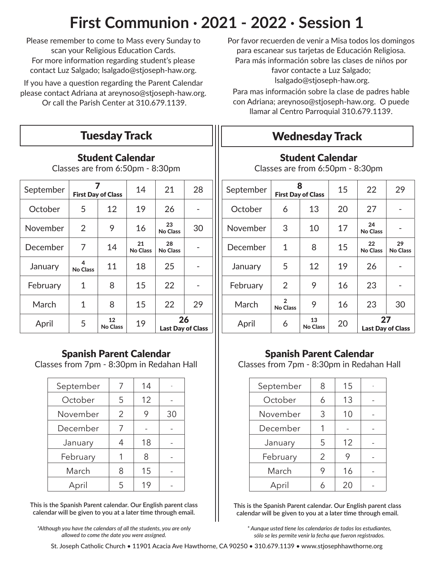# **First Communion · 2021 - 2022 · Session 1**

Please remember to come to Mass every Sunday to scan your Religious Education Cards. For more information regarding student's please contact Luz Salgado; lsalgado@stjoseph-haw.org.

If you have a question regarding the Parent Calendar please contact Adriana at areynoso@stjoseph-haw.org. Or call the Parish Center at 310.679.1139.

### Student Calendar

Classes are from 6:50pm - 8:30pm

| September |                      | <b>First Day of Class</b> | 14                    | 21                    | 28                       |
|-----------|----------------------|---------------------------|-----------------------|-----------------------|--------------------------|
| October   | 5                    | 12                        | 19                    | 26                    |                          |
| November  | $\overline{2}$       | 9                         | 16                    | 23<br><b>No Class</b> | 30                       |
| December  | 7                    | 14                        | 21<br><b>No Class</b> | 28<br><b>No Class</b> |                          |
| January   | 4<br><b>No Class</b> | 11                        | 18                    | 25                    |                          |
| February  | 1                    | 8                         | 15                    | 22                    |                          |
| March     | 1                    | 8                         | 15                    | 22                    | 29                       |
| April     | 5                    | 12<br><b>No Class</b>     | 19                    | 26                    | <b>Last Day of Class</b> |

#### Spanish Parent Calendar

Classes from 7pm - 8:30pm in Redahan Hall

| September | 7 | 14 |    |
|-----------|---|----|----|
| October   | 5 | 12 |    |
| November  | 2 | 9  | 30 |
| December  | 7 |    |    |
| January   | 4 | 18 |    |
| February  |   | 8  |    |
| March     | 8 | 15 |    |
| April     | 5 | 19 |    |

**This is the Spanish Parent calendar. Our English parent class calendar will be given to you at a later time through email.**

*\*Although you have the calendars of all the students, you are only allowed to come the date you were assigned.*

Por favor recuerden de venir a Misa todos los domingos para escanear sus tarjetas de Educación Religiosa. Para más información sobre las clases de niños por favor contacte a Luz Salgado; lsalgado@stjoseph-haw.org.

Para mas información sobre la clase de padres hable con Adriana; areynoso@stjoseph-haw.org. O puede llamar al Centro Parroquial 310.679.1139.

# **Wednesday Track**

### Student Calendar

Classes are from 6:50pm - 8:30pm

| September | 8<br><b>First Day of Class</b>    |                       | 15 | 22                             | 29                    |
|-----------|-----------------------------------|-----------------------|----|--------------------------------|-----------------------|
| October   | 6                                 | 13                    | 20 | 27                             |                       |
| November  | 3                                 | 10                    | 17 | 24<br><b>No Class</b>          |                       |
| December  | 1                                 | 8                     | 15 | 22<br><b>No Class</b>          | 29<br><b>No Class</b> |
| January   | 5                                 | 12                    | 19 | 26                             |                       |
| February  | 2                                 | 9                     | 16 | 23                             |                       |
| March     | $\overline{2}$<br><b>No Class</b> | 9                     | 16 | 23                             | 30                    |
| April     | 6                                 | 13<br><b>No Class</b> | 20 | 27<br><b>Last Day of Class</b> |                       |

### Spanish Parent Calendar

Classes from 7pm - 8:30pm in Redahan Hall

| September | 8 | 15 |  |
|-----------|---|----|--|
| October   | 6 | 13 |  |
| November  | 3 | 10 |  |
| December  | 1 |    |  |
| January   | 5 | 12 |  |
| February  | 2 | 9  |  |
| March     | 9 | 16 |  |
| April     |   | 20 |  |

**This is the Spanish Parent calendar. Our English parent class calendar will be given to you at a later time through email.**

*\* Aunque usted tiene los calendarios de todos los estudiantes, sólo se les permite venir la fecha que fueron registrados.*

St. Joseph Catholic Church • 11901 Acacia Ave Hawthorne, CA 90250 • 310.679.1139 • www.stjosephhawthorne.org